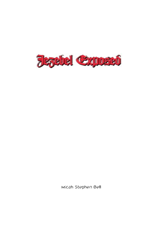

Micah Stephen Bell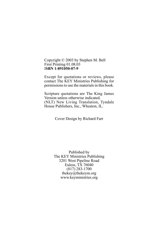Copyright © 2003 by Stephen M. Bell First Printing 01.08.03 I**SBN 1-891050-07-9**

Except for quotations or reviews, please contact The KEY Ministries Publishing for permissions to use the materials in this book.

Scripture quotations are The King James Version unless otherwise indicated. (NLT) New Living Translation, Tyndale House Publishers, Inc., Wheaton, IL.

Cover Design by Richard Farr

Published by The KEY Ministries Publishing 3201 West Pipeline Road Euless, TX 76040 (817) 283-1700 thekey@thekeym.org www.keyministries.org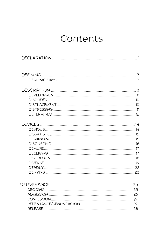# Contents

| DISORDER …………………………………………………………………………………………10 |  |
|-----------------------------------------------|--|
|                                               |  |
|                                               |  |
|                                               |  |
|                                               |  |
|                                               |  |
|                                               |  |
|                                               |  |
|                                               |  |
|                                               |  |
|                                               |  |
|                                               |  |
|                                               |  |
|                                               |  |
|                                               |  |
|                                               |  |
|                                               |  |
|                                               |  |
|                                               |  |
|                                               |  |
|                                               |  |
|                                               |  |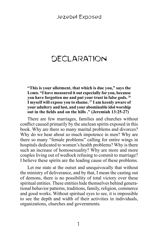# **DECLARATION**

**"This is your allotment, that which is due you," says the**  Lord. "I have measured it out especially for you, because **you have forgotten me and put your trust in false gods. 26 I myself will expose you to shame. 27 I am keenly aware of your adultery and lust, and your abominable idol worship out in the fields and on the hills ." (Jeremiah 13:25-27)**

There are few marriages, families and churches without conflict caused primarily by the unclean spirits exposed in this book. Why are there so many marital problems and divorces? Why do we hear about so much impotence in men? Why are there so many "female problems" calling for entire wings in hospitals dedicated to women's health problems? Why is there such an increase of homosexuality? Why are more and more couples living out of wedlock refusing to commit to marriage? I believe these spirits are the leading cause of these problems.

Let me state at the outset and unequivocally that without the ministry of deliverance, and by that, I mean the casting out of demons, there is no possibility of total victory over these spiritual entities. These entities hide themselves behind generational behavior patterns, traditions, family, religion, commerce and good works. Without spiritual eyes to see, it is impossible to see the depth and width of their activities in individuals, organizations, churches and governments.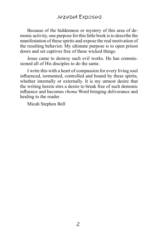Because of the hiddenness or mystery of this area of demonic activity, one purpose for this little book is to describe the manifestation of these spirits and expose the real motivation of the resulting behavior. My ultimate purpose is to open prison doors and set captives free of these wicked things.

Jesus came to destroy such evil works. He has commissioned all of His disciples to do the same.

I write this with a heart of compassion for every living soul influenced, tormented, controlled and bound by these spirits, whether internally or externally. It is my utmost desire that the writing herein stirs a desire to break free of such demonic influence and becomes *rhema* Word bringing deliverance and healing to the reader.

Micah Stephen Bell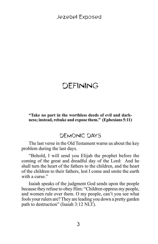# DEFINING

#### **"Take no part in the worthless deeds of evil and darkness; instead, rebuke and expose them." (Ephesians 5:11)**

## DEMONIC DAYS

The last verse in the Old Testament warns us about the key problem during the last days.

"Behold, I will send you Elijah the prophet before the coming of the great and dreadful day of the Lord: And he shall turn the heart of the fathers to the children, and the heart of the children to their fathers, lest I come and smite the earth with a curse."

Isaiah speaks of the judgment God sends upon the people because they refuse to obey Him: "Children oppress my people, and women rule over them. O my people, can't you see what fools your rulers are? They are leading you down a pretty garden path to destruction" (Isaiah 3:12 NLT).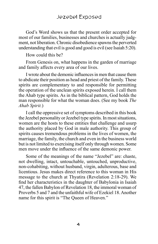#### Jezebel Exposed

God's Word shows us that the present order accepted for most of our families, businesses and churches is actually judgment, not liberation. Chronic disobedience spawns the perverted understanding that evil is good and good is evil (see Isaiah 5:20).

How could this be?

From Genesis on, what happens in the garden of marriage and family affects every area of our lives.

I wrote about the demonic influences in men that cause them to abdicate their position as head and priest of the family. These spirits are complementary to and responsible for permitting the operation of the unclean spirits exposed herein. I call them the Ahab type spirits. As in the biblical pattern, God holds the man responsible for what the woman does. (See my book *The Ahab Spirit.*)

I call the oppressive set of symptoms described in this book the Jezebel personality or Jezebel type spirits. In most situations, women are the hosts to these entities that challenge and usurp the authority placed by God in male authority. This group of spirits causes tremendous problems in the lives of women, the marriage, the family, the church and even in the business world but is not limited to exercising itself only through women. Some men move under the influence of the same demonic power.

Some of the meanings of the name "Jezebel" are: chaste, not dwelling, intact, untouchable, untouched, unproductive, non-cohabiting, without husband, virgin, adulterous, base and licentious. Jesus makes direct reference to this woman in His message to the church at Thyatira (Revelation 2:18-29). We find her characteristics in the daughter of Babylonia in Isaiah 47, the fallen Babylon of Revelation 18, the immoral woman of Proverbs 5 and 7 and the unfaithful wife of Ezekiel 18. Another name for this spirit is "The Queen of Heaven."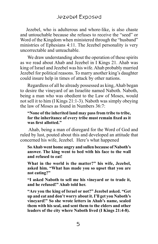Jezebel, who is adulterous and whore-like, is also chaste and untouchable because she refuses to receive the "seed" or Word of the Kingdom when ministered through the "husband" ministries of Ephesians 4:11. The Jezebel personality is very uncorrectable and unteachable.

We draw understanding about the operation of these spirits as we read about Ahab and Jezebel in I Kings 21. Ahab was king of Israel and Jezebel was his wife. Ahab probably married Jezebel for political reasons. To marry another king's daughter could insure help in times of attack by other nations.

Regardless of all he already possessed as king, Ahab began to desire the vineyard of an Israelite named Naboth. Naboth, being a man who was obedient to the Law of Moses, would not sell it to him (I Kings 21:1-3). Naboth was simply obeying the law of Moses as found in Numbers 36:7:

#### **"None of the inherited land may pass from tribe to tribe, for the inheritance of every tribe must remain fixed as it was first allotted."**

 Ahab, being a man of disregard for the Word of God and ruled by lust, pouted about this and developed an attitude that concerned his wife, Jezebel. Here's what happened

**So Ahab went home angry and sullen because of Naboth's answer. The king went to bed with his face to the wall and refused to eat!** 

**What in the world is the matter?" his wife, Jezebel, asked him. "What has made you so upset that you are not eating?"** 

**"I asked Naboth to sell me his vineyard or to trade it, and he refused!" Ahab told her.** 

**"Are you the king of Israel or not?" Jezebel asked. "Get up and eat and don't worry about it. I'll get you Naboth's vineyard!" So she wrote letters in Ahab's name, sealed them with his seal, and sent them to the elders and other leaders of the city where Naboth lived (I Kings 21:4-8).**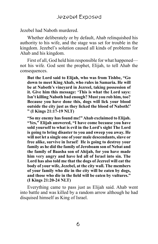Jezebel had Naboth murdered.

Whether deliberately or by default, Ahab relinquished his authority to his wife, and the stage was set for trouble in the kingdom. Jezebel's solution caused all kinds of problems for Ahab and his kingdom.

First of all, God held him responsible for what happened not his wife. God sent the prophet, Elijah, to tell Ahab the consequences.

**But the Lord said to Elijah, who was from Tishbe, "Go down to meet King Ahab, who rules in Samaria. He will be at Naboth's vineyard in Jezreel, taking possession of it. Give him this message: 'This is what the Lord says: Isn't killing Naboth bad enough? Must you rob him, too? Because you have done this, dogs will lick your blood outside the city just as they licked the blood of Naboth!' " (I Kings 21:17-19 NLT)**

**"So my enemy has found me!" Ahab exclaimed to Elijah. "Yes," Elijah answered, "I have come because you have sold yourself to what is evil in the Lord's sight The Lord is going to bring disaster to you and sweep you away. He will not let a single one of your male descendants, slave or free alike, survive in Israel! He is going to destroy your family as he did the family of Jeroboam son of Nebat and the family of Baasha son of Ahijah, for you have made him very angry and have led all of Israel into sin. The Lord has also told me that the dogs of Jezreel will eat the body of your wife, Jezebel, at the city wall. The members of your family who die in the city will be eaten by dogs, and those who die in the field will be eaten by vultures." (I Kings 21:20-24 NLT)**

Everything came to pass just as Elijah said. Ahab went into battle and was killed by a random arrow although he had disquised himself as King of Israel.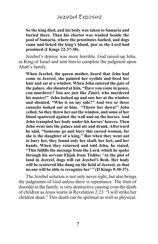**So the king died, and his body was taken to Samaria and buried there. Then his chariot was washed beside the pool of Samaria, where the prostitutes bathed, and dogs came and licked the king's blood, just as the Lord had promised (I Kings 22:37-38).**

Jezebel's demise was more horrible. God raised-up Jehu, as King of Israel and sent him to complete the judgment upon Ahab's family.

**When Jezebel, the queen mother, heard that Jehu had come to Jezreel, she painted her eyelids and fixed her hair and sat at a window. When Jehu entered the gate of the palace, she shouted at him, "Have you come in peace, you murderer? You are just like Zimri, who murdered his master!" Jehu looked up and saw her at the window and shouted, "Who is on my side?" And two or three eunuchs looked out at him. "Throw her down!" Jehu yelled. So they threw her out the window, and some of her blood spattered against the wall and on the horses. And Jehu trampled her body under his horses' hooves. Then Jehu went into the palace and ate and drank. Afterward he said, "Someone go and bury this cursed woman, for she is the daughter of a king." But when they went out to bury her, they found only her skull, her feet, and her hands. When they returned and told Jehu, he stated, "This fulfills the message from the Lord, which he spoke through his servant Elijah from Tishbe: 'At the plot of land in Jezreel, dogs will eat Jezebel's flesh. Her body will be scattered like dung on the field of Jezreel, so that no one will be able to recognize her' " (II Kings 9:30-37).**

The Jezebel solution is not only never right, but also brings the judgments of God unless there is repentance. The fruit of disorder in the family is very destructive causing even the death of children as Jesus warns in Revelation 2:23: "I will strike her children dead." This death can be spiritual as well as physical.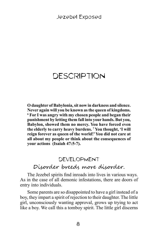# **DESCRIPTION**

**O daughter of Babylonia, sit now in darkness and silence. Never again will you be known as the queen of kingdoms. 6 For I was angry with my chosen people and began their punishment by letting them fall into your hands. But you, Babylon, showed them no mercy. You have forced even the elderly to carry heavy burdens. 7 You thought, 'I will reign forever as queen of the world!' You did not care at all about my people or think about the consequences of your actions (Isaiah 47:5-7).**

# DEVELOPMENT Disorder breeds more disorder.

The Jezebel spirits find inroads into lives in various ways. As in the case of all demonic infestations, there are doors of entry into individuals.

Some parents are so disappointed to have a girl instead of a boy, they impart a spirit of rejection to their daughter. The little girl, unconsciously wanting approval, grows up trying to act like a boy. We call this a tomboy spirit. The little girl discerns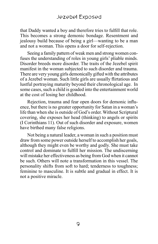that Daddy wanted a boy and therefore tries to fulfill that role. This becomes a strong demonic bondage. Resentment and jealousy build because of being a girl—wanting to be a man and not a woman. This opens a door for self-rejection.

Seeing a family pattern of weak men and strong women confuses the understanding of roles in young girls' pliable minds. Disorder breeds more disorder. The traits of the Jezebel spirit manifest in the woman subjected to such disorder and trauma. There are very young girls demonically gifted with the attributes of a Jezebel woman. Such little girls are usually flirtatious and lustful portraying maturity beyond their chronological age. In some cases, such a child is goaded into the entertainment world at the cost of losing her childhood.

Rejection, trauma and fear open doors for demonic influence, but there is no greater opportunity for Satan in a woman's life than when she is outside of God's order. Without Scriptural covering, she exposes her head (thinking) to angels or spirits (I Corinthians 11). Out of such disorder and exposure, women have birthed many false religions.

Not being a natural leader, a woman in such a position must draw from some power outside herself to accomplish her goals, although they might even be worthy and godly. She must take control and dominate to fulfill her mission. The undiscerning will mistake her effectiveness as being from God when it cannot be such. Others will note a transformation in this vessel. The personality shifts from soft to hard; tenderness to toughness; feminine to masculine. It is subtle and gradual in effect. It is not a positive miracle.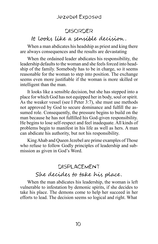#### Jezebel Exposed

#### DISORDER

### It looks like a sensible decision .

When a man abdicates his headship as priest and king there are always consequences and the results are devastating

When the ordained leader abdicates his responsibility, the leadership defaults to the woman and she feels forced into headship of the family. Somebody has to be in charge, so it seems reasonable for the woman to step into position. The exchange seems even more justifiable if the woman is more skilled or intelligent than the man.

It looks like a sensible decision, but she has stepped into a place for which God has not equipped her in body, soul or spirit. As the weaker vessel (see I Peter 3:7), she must use methods not approved by God to secure dominance and fulfill the assumed role. Consequently, the pressure begins to build on the man because he has not fulfilled his God-given responsibility. He begins to lose self-respect and feel inadequate. All kinds of problems begin to manifest in his life as well as hers. A man can abdicate his authority, but not his responsibility.

King Ahab and Queen Jezebel are prime examples of Those who refuse to follow Godly principles of leadership and submission as given in God's Word.

#### DISPLACEMENT

### She decides to take his place.

When the man abdicates his leadership, the woman is left vulnerable to infestation by demonic spirits, if she decides to take his place. The demons come to help her succeed in her efforts to lead. The decision seems so logical and right. What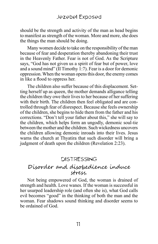should be the strength and activity of the man as head begins to manifest as strength of the woman. More and more, she does the things the man should be doing.

Many women decide to take on the responsibility of the man because of fear and desperation thereby abandoning their trust in the Heavenly Father. Fear is not of God. As the Scripture says, "God has not given us a spirit of fear but of power, love and a sound mind" (II Timothy 1:7). Fear is a door for demonic oppression. When the woman opens this door, the enemy comes in like a flood to oppress her.

The children also suffer because of this displacement. Setting herself up as queen, the mother demands alligance telling the children they owe their lives to her because of her suffering with their birth. The children then feel obligated and are controlled through fear of disrespect. Because she feels ownership of the children, she begins to hide them from the father and his corrections. "Don't tell your father about this," she will say to the children, which helps form an ungodly, demonic soul-tie between the mother and the children. Such wickedness uncovers the children allowing demonic inroads into their lives. Jesus warns the church at Thyatira that such disorder will bring a judgment of death upon the children (Revelation 2:23).

### DISTRESSING

## Disorder and disobedience induce stress.

Not being empowered of God, the woman is drained of strength and health. Love wanes. If the woman is successful in her usurped leadership role (and often she is), what God calls evil becomes "good" in the thinking of both the man and the woman. Fear shadows sound thinking and disorder seems to be ordained of God.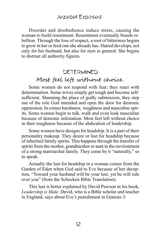Disorder and disobedience induce stress, causing the woman to build resentment. Resentment eventually breeds rebellion. Through the loss of respect, a root of bitterness begins to grow in her or feed one she already has. Hatred develops, not only for her husband, but also for men in general. She begins to distrust all authority figures.

#### DETERMINED

# Most feel left without choice.

Some women do not respond with fear; they react with determination. Some wives simply get tough and become selfsufficient. Shunning the place of godly submission, they step out of the role God intended and open the door for demonic oppression. In comes harshness, toughness and masculine spirits. Some women begin to talk, walk and even look masculine because of demonic infestation. Most feel left without choice in their toughness because of the abdication of leadership.

Some women have designs for headship. It is a part of their personality makeup. They desire or lust for headship because of inherited family spirits. This happens through the transfer of spirits from the mother, grandmother or aunt in the environment of a strong matriarchal family. They come by it "naturally," so to speak.

Actually the lust for headship in a woman comes from the Garden of Eden when God said to Eve because of her deception, "Toward your husband will be your lust, yet he will rule over you" (from the Schocken Bible Translation).

This lust is better explained by David Pawson in his book, *Leadership is Male*. David, who is a Bible scholar and teacher in England, says about Eve's punishment in Genesis 3: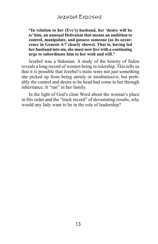**"In relation to her (Eve's) husband, her 'desire will be**  *to***' him, an unusual Hebraism that means an ambition to control, manipulate, and possess someone (as its occurrence in Genesis 4:7 clearly shows). That is, having led her husband into sin, she must now live with a continuing urge to subordinate him to her wish and will."**

Jezebel was a Sidonian. A study of the history of Sidon reveals a long record of women being in rulership. This tells us that it is possible that Jezebel's traits were not just something she picked up from being unruly or insubmissive, but probably the control and desire to be head had come to her through inheritance. It "ran" in her family.

In the light of God's clear Word about the woman's place in His order and the "track record" of devastating results, why would any lady want to be in the role of leadership?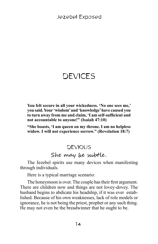# DEVICES

**You felt secure in all your wickedness. 'No one sees me,' you said. Your 'wisdom' and 'knowledge' have caused you to turn away from me and claim, 'I am self-sufficient and not accountable to anyone!" (Isaiah 47:10)**

**"She boasts, 'I am queen on my throne. I am no helpless widow. I will not experience sorrow." (Revelation 18:7)**

# **DEVIOUS** She may be subtle.

The Jezebel spirits use many devices when manifesting through individuals.

Here is a typical marriage scenario:

The honeymoon is over. The couple has their first argument. There are children now and things are not lovey-dovey. The husband begins to abdicate his headship, if it was ever established. Because of his own weaknesses, lack of role models or ignorance, he is not being the priest, prophet or any such thing. He may not even be the breadwinner that he ought to be.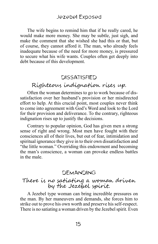The wife begins to remind him that if he really cared, he would make more money. She may be subtle, just sigh, and make the comment that she wished she had this or that, but of course, they cannot afford it. The man, who already feels inadequate because of the need for more money, is pressured to secure what his wife wants. Couples often get deeply into debt because of this development.

# **DISSATISFIED** Righteous indignation rises up.

Often the woman determines to go to work because of dissatisfaction over her husband's provision or her misdirected effort to help. At this crucial point, most couples never think to come into agreement with God's Word and look to the Lord for their provision and deliverance. To the contrary, righteous indignation rises up to justify the decisions.

Contrary to popular opinion, God has given men a strong sense of right and wrong. Most men have fought with their consciences all of their lives, but out of fear, intimidation and spiritual ignorance they give in to their own dissatisfaction and "the little woman." Overriding this endowment and becoming the man's conscience, a woman can provoke endless battles in the male.

#### DEMANDING

#### There is no satiating a woman driven by the Jezebel spirit.

A Jezebel type woman can bring incredible pressures on the man. By her maneuvers and demands, she forces him to strike out to prove his own worth and preserve his self-respect. There is no satiating a woman driven by the Jezebel spirit. Even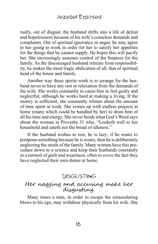tually, out of disgust, the husband drifts into a life of defeat and hopelessness because of his wife's ceaseless demands and complaints. Out of spiritual ignorance or anger, he may agree to her going to work in order for her to satisfy her appetites for the things that he cannot supply. He hopes this will pacify her. She increasingly assumes control of the finances for the family. As the discouraged husband retreats from responsibility, he makes the most tragic abdication of all, that of spiritual head of the house and family.

Another way these spirits work is to arrange for the husband never to have any rest or relaxation from the demands of the wife. She works constantly to cause him to feel guilty and neglectful, although he works hard at making a living. If the money is sufficient, she constantly whines about the amount of time spent at work. She comes up with endless projects at home (many which could be handled by her) to drain him of all his time and energy. She never heeds what God's Word says about the woman in Proverbs 31 who, "Looketh well to her household and eateth not the bread of idleness."

If the husband wishes to rest, he is lazy; if he wants to postpone something because he is weary, then he is deliberately neglecting the needs of the family. Many women have this procedure down to a science and keep their husbands constantly in a turmoil of guilt and weariness, often to cover the fact they have neglected their own duties at home.

#### DISGUSTING

#### Her nagging and accusing make her disgusting.

Many times a man, in order to escape the emasculating blows to his ego, may withdraw physically from his wife. She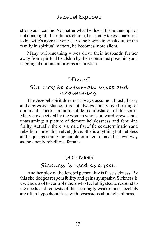strong as it can be. No matter what he does, it is not enough or not done right. If he attends church, he usually takes a back seat to his wife's aggressiveness. As she begins to speak out for the family in spiritual matters, he becomes more silent.

Many well-meaning wives drive their husbands further away from spiritual headship by their continued preaching and nagging about his failures as a Christian.

#### **DEMURE**

# She may be outwardly sweet and unassuming.

The Jezebel spirit does not always assume a brash, bossy and aggressive stance. It is not always openly overbearing or dominant. There is a more subtle manifestation of this spirit. Many are deceived by the woman who is outwardly sweet and unassuming; a picture of demure helplessness and feminine frailty. Actually, there is a male fist of fierce determination and rebellion under this velvet glove. She is anything but helpless and is just as conniving and determined to have her own way as the openly rebellious female.

#### DECEIVING

## Sickness is used as a tool .

Another ploy of the Jezebel personality is false sickness. By this she dodges responsibility and gains sympathy. Sickness is used as a tool to control others who feel obligated to respond to the needs and requests of the seemingly weaker one. Jezebels are often hypochondriacs with obsessions about cleanliness.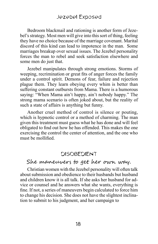Bedroom blackmail and rationing is another form of Jezebel's strategy. Most men will give into this sort of thing, feeling they have no choice because of the marriage covenant. Marital discord of this kind can lead to impotence in the man. Some marriages breakup over sexual issues. The Jezebel personality forces the man to rebel and seek satisfaction elsewhere and some men do just that.

Jezebel manipulates through strong emotions. Storms of weeping, recrimination or great fits of anger forces the family under a control spirit. Demons of fear, failure and rejection plague them. They learn obeying every whim is better than suffering constant outbursts from Mama. There is a humorous saying: "When Mama ain't happy, ain't nobody happy." The strong mama scenario is often joked about, but the reality of such a state of affairs is anything but funny.

Another cruel method of control is silence or pouting, which is hypnotic control or a method of charming. The man given this treatment must guess what he has done and will feel obligated to find out how he has offended. This makes the one exercising the control the center of attention, and the one who must be mollified.

#### **DISOBEDIENT**

#### She maneuvers to get her own way.

Christian women with the Jezebel personality will often talk about submission and obedience to their husbands but husband and children know it is all talk. If she asks her husband for advice or counsel and he answers what she wants, everything is fine. If not, a series of maneuvers begin calculated to force him to change his decision. She does not have the slightest inclination to submit to his judgment, and her campaign to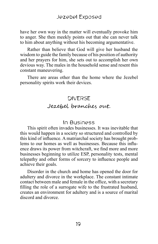have her own way in the matter will eventually provoke him to anger. She then meekly points out that she can never talk to him about anything without his becoming argumentative.

Rather than believe that God will give her husband the wisdom to guide the family because of his position of authority and her prayers for him, she sets out to accomplish her own devious way. The males in the household sense and resent this constant maneuvering.

There are areas other than the home where the Jezebel personality spirits work their devices.

# DIVERSE Jezebel branches out.

#### In Business

This spirit often invades businesses. It was inevitable that this would happen in a society so structured and controlled by this kind of influence. A matriarchal society has brought problems to our homes as well as businesses. Because this influence draws its power from witchcraft, we find more and more businesses beginning to utilize ESP, personality tests, mental telepathy and other forms of sorcery to influence people and achieve their goals.

Disorder in the church and home has opened the door for adultery and divorce in the workplace. The constant intimate contact between male and female in the office, with a secretary filling the role of a surrogate wife to the frustrated husband, creates an environment for adultery and is a source of marital discord and divorce.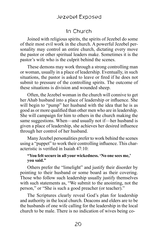### Jezebel Exposed

# In Church

Joined with religious spirits, the spirits of Jezebel do some of their most evil work in the church. A powerful Jezebel personality may control an entire church, dictating every move the pastor or other spiritual leaders make. Sometimes it is the pastor's wife who is the culprit behind the scenes.

These demons may work through a strong controlling man or woman, usually in a place of leadership. Eventually, in such situations, the pastor is asked to leave or fired if he does not submit to pressure of the controlling spirits. The outcome of these situations is division and wounded sheep.

Often, the Jezebel woman in the church will connive to get her Ahab husband into a place of leadership or influence. She will begin to "pump" her husband with the idea that he is as good as or more qualified than other men who are in leadership. She will campaign for him to others in the church making the same suggestions. When—and usually not if—her husband is given a place of leadership, she achieves her desired influence through her control of her husband.

Many Jezebel personalities prefer to work behind the scenes using a "puppet" to work their controlling influence. This characteristic is verified in Isaiah 47:10:

#### **"You felt secure in all your wickedness. 'No one sees me,' you said."**

Others prefer the "limelight" and justify their disorder by pointing to their husband or some board as their covering. Those who follow such leadership usually justify themselves with such statements as, "We submit to the anointing, not the person," or "She is such a good preacher (or teacher)."

The Scriptures clearly reveal God's plan for leadership and authority in the local church. Deacons and elders are to be the husbands of one wife calling for the leadership in the local church to be male. There is no indication of wives being co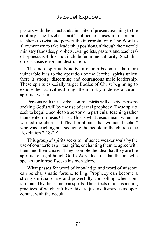pastors with their husbands, in spite of present teaching to the contrary. The Jezebel spirit's influence causes ministers and teachers to twist and pervert the interpretation of the Word to allow women to take leadership positions, although the fivefold ministry (apostles, prophets, evangelists, pastors and teachers) of Ephesians 4 does not include feminine authority. Such disorder causes error and destruction.

The more spiritually active a church becomes, the more vulnerable it is to the operation of the Jezebel spirits unless there is strong, discerning and courageous male leadership. These spirits especially target Bodies of Christ beginning to expose their activities through the ministry of deliverance and spiritual warfare.

Persons with the Jezebel control spirits will deceive persons seeking God's will by the use of carnal prophecy. These spirits seek to beguile people to a person or a particular teaching rather than center on Jesus Christ. This is what Jesus meant when He warned the church at Thyatira about "that woman Jezebel" who was teaching and seducing the people in the church (see Revelation 2:18-29).

This group of spirits seeks to influence weaker souls by the use of counterfeit spiritual gifts, enchanting them to agree with them and their causes. They promote the idea that they are the spiritual ones, although God's Word declares that the one who speaks for himself seeks his own glory.

What passes for word of knowledge and word of wisdom can be charismatic fortune telling. Prophecy can become a strong spiritual curse and powerfully controlling when contaminated by these unclean spirits. The effects of unsuspecting practices of witchcraft like this are just as disastrous as open contact with the occult.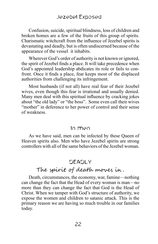Confusion, suicide, spiritual blindness, loss of children and broken homes are a few of the fruits of this group of spirits. Charismatic witchcraft from the influence of Jezebel spirits is devastating and deadly, but is often undiscerned because of the appearance of the vessel it inhabits.

Wherever God's order of authority is not known or ignored, the spirit of Jezebel finds a place. It will take precedence when God's appointed leadership abdicates its role or fails to confront. Once it finds a place, fear keeps most of the displaced authorities from challenging its infringement.

Most husbands (if not all) have real fear of their Jezebel wives, even though this fear is irrational and usually denied. Many men deal with this spiritual influence by cracking jokes about "the old lady" or "the boss". Some even call their wives "mother" in deference to her power of control and their sense of weakness.

#### In men

As we have said, men can be infected by these Queen of Heaven spirits also. Men who have Jezebel spirits are strong controllers with all of the same behaviors of the Jezebel woman.

# DEADLY

# The spirit of death moves in .

Death, circumstances, the economy, war, famine—nothing can change the fact that the Head of every woman is man—no more than they can change the fact that God is the Head of Christ. When we tamper with God's structure of authority, we expose the women and children to satanic attack. This is the primary reason we are having so much trouble in our families today.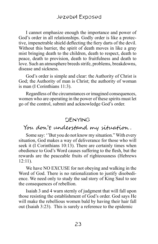I cannot emphasize enough the importance and power of God's order in all relationships. Godly order is like a protective, impenetrable shield deflecting the fiery darts of the devil. Without this barrier, the spirit of death moves in like a gray mist bringing death to the children, death to respect, death to peace, death to provision, death to fruitfulness and death to love. Such an atmosphere breeds strife, problems, breakdowns, disease and sickness.

God's order is simple and clear: the Authority of Christ is God; the Authority of man is Christ; the authority of woman is man (I Corinthians 11:3).

Regardless of the circumstances or imagined consequences, women who are operating in the power of these spirits must let go of the control, submit and acknowledge God's order.

#### DENYING

# You don't understand my situation .

Some say: ''But you do not know my situation." With every situation, God makes a way of deliverance for those who will seek it (I Corinthians 10:13). There are certainly times when obedience to God's Word causes suffering to the flesh, but the rewards are the peaceable fruits of righteousness (Hebrews 12:11).

We have NO EXCUSE for not obeying and walking in the Word of God. There is no rationalization to justify disobedience. We need only to study the sad story of King Saul to see the consequences of rebellion.

Isaiah 3 and 4 warn sternly of judgment that will fall upon those resisting the establishment of God's order. God says He will make the rebellious women bald by having their hair fall out (Isaiah 3:23). This is surely a reference to the epidemic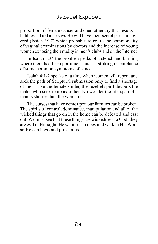proportion of female cancer and chemotherapy that results in baldness. God also says He will have their secret parts uncovered (Isaiah 3:17) which probably refers to the commonality of vaginal examinations by doctors and the increase of young women exposing their nudity in men's clubs and on the Internet.

In Isaiah 3:34 the prophet speaks of a stench and burning where there had been perfume. This is a striking resemblance of some common symptoms of cancer.

Isaiah 4:1-2 speaks of a time when women will repent and seek the path of Scriptural submission only to find a shortage of men. Like the female spider, the Jezebel spirit devours the males who seek to appease her. No wonder the life-span of a man is shorter than the woman's.

The curses that have come upon our families can be broken. The spirits of control, dominance, manipulation and all of the wicked things that go on in the home can be defeated and cast out. We must see that these things are wickedness to God; they are evil in His sight. He wants us to obey and walk in His Word so He can bless and prosper us.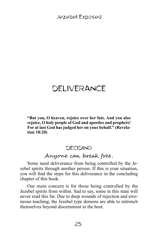# DELIVERANCE

**"But you, O heaven, rejoice over her fate. And you also rejoice, O holy people of God and apostles and prophets! For at last God has judged her on your behalf." (Revelation 18:20)**

# DECIDING

# Anyone can break free.

Some need deliverance from being controlled by the Jezebel spirits through another person. If this is your situation, you will find the steps for this deliverance in the concluding chapter of this book.

Our main concern is for those being controlled by the Jezebel spirits from within. Sad to say, some in this state will never read this far. Due to deep wounds of rejection and erroneous teaching, the Jezebel type demons are able to entrench themselves beyond discernment to the host.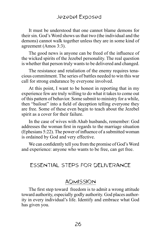It must be understood that one cannot blame demons for their sin. God's Word shows us that two (the individual and the demons) cannot walk together unless they are in some kind of agreement (Amos 3:3).

The good news is anyone can be freed of the influence of the wicked spirits of the Jezebel personality. The real question is whether that person truly wants to be delivered and changed.

The resistance and retaliation of the enemy requires tenacious commitment. The series of battles needed to win this war call for strong endurance by everyone involved.

At this point, I want to be honest in reporting that in my experience few are truly willing to do what it takes to come out of this pattern of behavior. Some submit to ministry for a while, then "bailout" into a field of deception telling everyone they are free. Some of these even begin to teach about the Jezebel spirit as a cover for their failure.

In the case of wives with Ahab husbands, remember: God addresses the woman first in regards to the marriage situation (Ephesians 5:22). The power of influence of a submitted woman is ordained by God and very effective.

We can confidently tell you from the promise of God's Word and experience: anyone who wants to be free, can get free.

# ESSENTIAL STEPS FOR DELIVERANCE

### ADMISSION

The first step toward freedom is to admit a wrong attitude toward authority, especially godly authority. God places authority in every individual's life. Identify and embrace what God has given you.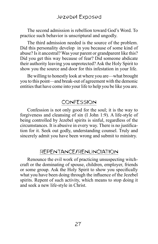The second admission is rebellion toward God's Word. To practice such behavior is unscriptural and ungodly.

The third admission needed is the source of the problem. Did this personality develop in you because of some kind of abuse? Is it ancestral? Was your parent or grandparent like this? Did you get this way because of fear? Did someone abdicate their authority leaving you unprotected? Ask the Holy Spirit to show you the source and door for this infestation in your life.

Be willing to honestly look at where you are—what brought you to this point—and break-out of agreement with the demonic entities that have come into your life to help you be like you are.

#### CONFESSION

Confession is not only good for the soul; it is the way to forgiveness and cleansing of sin (I John 1:9). A life-style of being controlled by Jezebel spirits is sinful, regardless of the circumstances. It is abusive in every way. There is no justification for it. Seek out godly, understanding counsel. Truly and sincerely admit you have been wrong and submit to ministry.

#### REPENTANCE/RENUNCIATION

Renounce the evil work of practicing unsuspecting witchcraft or the dominating of spouse, children, employer, friends or some group. Ask the Holy Spirit to show you specifically what you have been doing through the influence of the Jezebel spirits. Repent of such activity, which means to stop doing it and seek a new life-style in Christ.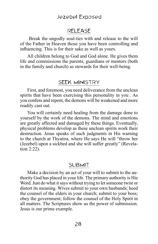#### Jezebel Exposed

#### RELEASE

 Break the ungodly soul-ties with and release to the will of the Father in Heaven those you have been controlling and influencing. This is for their sake as well as yours.

All children belong to God and God alone. He gives them life and commissions the parents, guardians or mentors (both in the family and church) as stewards for their well-being.

#### SEEK MINISTRY

First, and foremost, you need deliverance from the unclean spirits that have been exercising this personality in you . As you confess and repent, the demons will be weakened and more readily cast out.

You will certainly need healing from the damage done to yourself by the work of the demons. The mind and emotions are greatly affected and damaged by these things. Eventually, physical problems develop as these unclean spirits work their destruction. Jesus speaks of such judgments in His warning to the church at Thyatira, where He says He will "throw her (Jezebel) upon a sickbed and she will suffer greatly" (Revelation 2:22).

#### SUBMIT

Make a decision by an act of your will to submit to the authority God has placed in your life. The primary authority is His Word. Just do what it says without trying to let someone twist or distort its meaning. Wives submit to your own husbands; heed the counsel of the elders in your church; submit to your boss; obey the government; follow the counsel of the Holy Spirit in all matters. The Scriptures show us the power of submission. Jesus is our prime example.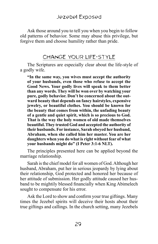Ask those around you to tell you when you begin to follow old patterns of behavior. Some may abuse this privilege, but forgive them and choose humility rather than pride.

# CHANGE YOUR LIFE-STYLE

The Scriptures are especially clear about the life-style of a godly wife.

**"In the same way, you wives must accept the authority of your husbands, even those who refuse to accept the Good News. Your godly lives will speak to them better than any words. They will be won over by watching your pure, godly behavior. Don't be concerned about the outward beauty that depends on fancy hairstyles, expensive jewelry, or beautiful clothes. You should be known for the beauty that comes from within, the unfading beauty of a gentle and quiet spirit, which is so precious to God. That is the way the holy women of old made themselves beautiful. They trusted God and accepted the authority of their husbands. For instance, Sarah obeyed her husband, Abraham, when she called him her master. You are her daughters when you do what is right without fear of what your husbands might do" (I Peter 3:1-6 NLT).**

The principles presented here can be applied beyond the marriage relationship.

Sarah is the chief model for all women of God. Although her husband, Abraham, put her in serious jeopardy by lying about their relationship, God protected and honored her because of her attitude of submission. Her godly attitude caused her husband to be mightily blessed financially when King Abimelech sought to compensate for his error.

Ask the Lord to show and confirm your true giftings. Many times the Jezebel spirits will deceive their hosts about their true giftings and callings. In the church setting, many Jezebels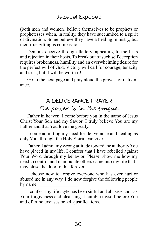(both men and women) believe themselves to be prophets or prophetesses when, in reality, they have succumbed to a spirit of divination. Some believe they have a healing ministry, but their true gifting is compassion.

Demons deceive through flattery, appealing to the lusts and rejection in their hosts. To break out of such self deception requires brokenness, humility and an overwhelming desire for the perfect will of God. Victory will call for courage, tenacity and trust, but it will be worth it!

Go to the next page and pray aloud the prayer for deliverance.

# A DELIVERANCE PRAYER

# The power is in the tongue.

Father in heaven, I come before you in the name of Jesus Christ Your Son and my Savior. I truly believe You are my Father and that You love me greatly.

I come admitting my need for deliverance and healing as only You, through the Holy Spirit, can give.

Father, I admit my wrong attitude toward the authority You have placed in my life. I confess that I have rebelled against Your Word through my behavior. Please, show me how my need to control and manipulate others came into my life that I may close the door to this forever.

I choose now to forgive everyone who has ever hurt or abused me in any way. I do now forgive the following people by name

I confess my life-style has been sinful and abusive and ask Your forgiveness and cleansing. I humble myself before You and offer no excuses or self-justifications.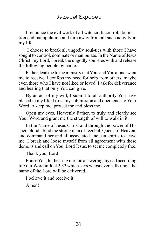I renounce the evil work of all witchcraft control, domination and manipulation and turn away from all such activity in my life.

 I choose to break all ungodly soul-ties with those I have sought to control, dominate or manipulate. In the Name of Jesus Christ, my Lord, I break the ungodly soul-ties with and release the following people by name:

Father, lead me to the ministry that You, and You alone, want me to receive. I confess my need for help from others, maybe even those who I have not liked or loved. I ask for deliverance and healing that only You can give.

By an act of my will, I submit to all authority You have placed in my life. I trust my submission and obedience to Your Word to keep me, protect me and bless me.

Open my eyes, Heavenly Father, to truly and clearly see Your Word and grant me the strength of will to walk in it.

In the Name of Jesus Christ and through the power of His shed blood I bind the strong man of Jezebel, Queen of Heaven, and command her and all associated unclean spirits to leave me. I break and loose myself from all agreement with these demons and call on You, Lord Jesus, to set me completely free.

Thank you, Lord

Praise You, for hearing me and answering my call according to Your Word in Joel 2:32 which says whosoever calls upon the name of the Lord will be delivered .

I believe it and receive it!

Amen!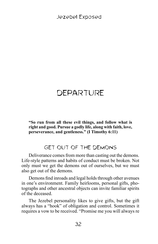# DEPARTURE

**"So run from all these evil things, and follow what is right and good. Pursue a godly life, along with faith, love, perseverance, and gentleness." (I Timothy 6:11)**

# GET OUT OF THE DEMONS

Deliverance comes from more than casting out the demons. Life-style patterns and habits of conduct must be broken. Not only must we get the demons out of ourselves, but we must also get out of the demons.

Demons find inroads and legal holds through other avenues in one's environment. Family heirlooms, personal gifts, photographs and other ancestral objects can invite familiar spirits of the deceased.

The Jezebel personality likes to give gifts, but the gift always has a "hook" of obligation and control. Sometimes it requires a vow to be received. "Promise me you will always re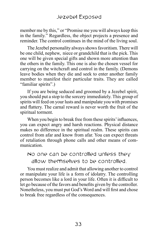member me by this," or "Promise me you will always keep this in the family." Regardless, the object projects a presence and reminder. The control continues in the mind of the living soul.

The Jezebel personality always shows favoritism. There will be one child, nephew, niece or grandchild that is the pick. This one will be given special gifts and shown more attention than the others in the family. This one is also the chosen vessel for carrying on the witchcraft and control in the family. (Demons leave bodies when they die and seek to enter another family member to manifest their particular traits. They are called "familiar spirits".)

If you are being seduced and groomed by a Jezebel spirit, you should put a stop to the sorcery immediately. This group of spirits will feed on your lusts and manipulate you with promises and flattery. The carnal reward is never worth the fruit of the spiritual torment.

When you begin to break free from these spirits' influences, you can expect angry and harsh reactions. Physical distance makes no difference in the spiritual realm. These spirits can control from afar and know from afar. You can expect threats of retaliation through phone calls and other means of communication.

# No one can be controlled unless they allow themselves to be controlled.

You must realize and admit that allowing another to control or manipulate your life is a form of idolatry. The controlling person becomes like a lord in your life. Often it is difficult to let go because of the favors and benefits given by the controller. Nonetheless, you must put God's Word and will first and chose to break free regardless of the consequences.